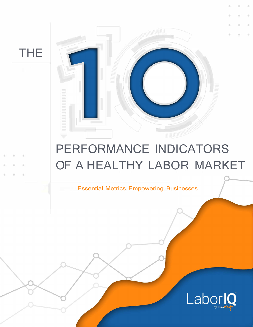THE



# PERFORMANCE INDICATORS OF A HEALTHY LABOR MARKET

Essential Metrics Empowering Businesses

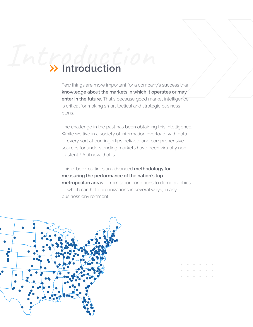# Introduction **Introduction**

Few things are more important for a company's success than **knowledge about the markets in which it operates or may enter in the future.** That's because good market intelligence is critical for making smart tactical and strategic business plans.

The challenge in the past has been obtaining this intelligence. While we live in a society of information overload, with data of every sort at our fingertips, reliable and comprehensive sources for understanding markets have been virtually nonexistent. Until now, that is.

This e-book outlines an advanced **methodology for measuring the performance of the nation's top metropolitan areas** —from labor conditions to demographics — which can help organizations in several ways, in any business environment.

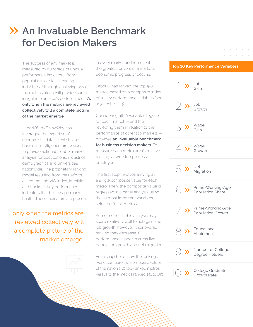# **An Invaluable Benchmark for Decision Makers**

The success of any market is measured by hundreds of unique performance indicators, from population size to its leading industries. Although analyzing any of the metrics alone will provide some insight into an area's performance, **it's only when the metrics are reviewed collectively will a complete picture of the market emerge.**

LaborIQ™ by ThinkWhy has leveraged the expertise of economists, data scientists and business intelligence professionals to provide actionable labor market analysis for occupations, industries, demographics and universities nationwide. The proprietary ranking model resulting from their efforts, called the LaborIQ Index, identifies and tracks 10 key performance indicators that best shape market health. These indicators are present

...only when the metrics are reviewed collectively will a complete picture of the market emerge. in every market and represent the greatest drivers of a market's economic progress or decline.

LaborIQ has ranked the top 150 metros based on a composite index of 10 key performance variables (see adjacent listing).

Considering all 10 variables together for each market — and then reviewing them in relation to the performance of other top markets provides **an invaluable benchmark for business decision makers.** To measure each metro area's relative ranking, a two-step process is employed.

The first step involves arriving at a single composite value for each metro. Then, the composite value is regressed in a panel analysis using the 10 most important variables selected for all metros.

Some metros in this analysis may score relatively well for job gain and job growth; however, their overall ranking may decrease if performance is poor in areas like population growth and net migration.

For a snapshot of how the rankings work, compare the composite values of the nation's 10 top-ranked metros versus to the metros ranked 141 to 150.

#### **Top 10 Key Performance Variables**

 $\sim$ 

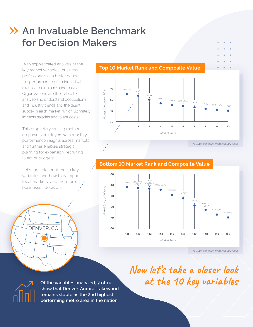# **An Invaluable Benchmark for Decision Makers**

With sophisticated analysis of the key market variables, business professionals can better gauge the performance of an individual metro area, on a relative basis. Organizations are then able to analyze and understand occupational and industry trends and the talent supply in each market, which ultimately impacts salaries and talent costs.

This proprietary ranking method empowers employers with monthly performance insights across markets and further enables strategic planning for expansion, recruiting talent or budgets.

Let's look closer at the 10 key variables and how they impact local markets, and therefore, businesses decisions.

DENVER, CO

#### **Top 10 Market Rank and Composite Value**



#### **Bottom 10 Market Rank and Composite Value**



*>> Data collected from January 2020*

**Now let's take a closer look at the 10 key variables**



**Of the variables analyzed, 7 of 10 show that Denver-Aurora-Lakewood remains stable as the 2nd highest performing metro area in the nation.**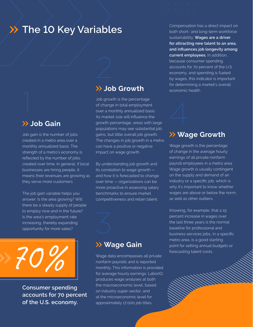## **XX The 10 Key Variables**

#### **Job Gain**

Job gain is the number of jobs created in a metro area over a monthly annualized basis. The strength of a metro's economy is reflected by the number of jobs created over time. In general, if local businesses are hiring people, it means their revenues are growing as they serve more customers.

The job gain variable helps you answer: Is the area growing? Will there be a steady supply of people to employ now and in the future? Is the area's employment rate increasing, thereby expanding opportunity for more sales?



**Consumer spending accounts for 70 percent of the U.S. economy.**

#### **Job Growth**

Job growth is the percentage of change in total employment over a monthly annualized basis. As market size will influence the growth percentage, areas with large populations may see substantial job gains, but little overall job growth. The changes in job growth in a metro can have a positive or negative impact on wage growth.

By understanding job growth and its correlation to wage growth and how it is forecasted to change over time — organizations can be more proactive in assessing salary benchmarks to ensure market competitiveness and retain talent.

#### **Wage Gain**

nonfarm payrolls and is reported monthly. This information is provided for average hourly earnings. LaborIQ produces wage analyses at both the macroeconomic level, based on industry super-sector, and at the microeconomic level for approximately 17,000 job titles.

Compensation has a direct impact on both short- and long-term workforce sustainability. **Wages are a driver for attracting new talent to an area, and influences job longevity among current employees.** In addition, because consumer spending accounts for 70 percent of the U.S. economy, and spending is fueled by wages, this indicator is important for determining a market's overall economic health.

# **Wage Growth**

Wage growth is the percentage of change in the average hourly earnings of all private nonfarm payroll employees in a metro area. Wage growth is usually contingent on the supply and demand of an industry or a specific job, which is why it's important to know whether wages are above or below the norm, as well as other outliers.

Knowing, for example, that a 15 percent increase in wages over the last three years is the normal baseline for professional and business services jobs, in a specific metro area, is a good starting point for setting annual budgets or forecasting talent costs.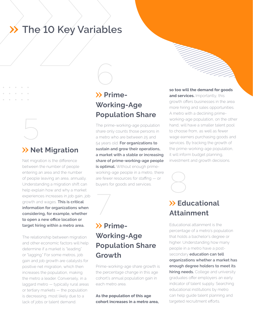# **The 10 Key Variables**

#### **XX Net Migration**

5

Net migration is the difference between the number of people entering an area and the number of people leaving an area, annually. Understanding a migration shift can help explain how and why a market experiences increases in job gain, job growth and wages. **This is critical information for organizations when considering, for example, whether to open a new office location or target hiring within a metro area.**

The relationship between migration and other economic factors will help determine if a market is "leading" or "lagging." For some metros, job gain and job growth are catalysts for positive net migration, which then increases the population, making the metro a leader. Conversely, in a laggard metro — typically rural areas or tertiary markets — the population is decreasing, most likely due to a lack of jobs or talent demand.

## **Prime-Working-Age Population Share**

6

The prime-working-age population share only counts those persons in a metro who are between 25 and 54 years old. **For organizations to sustain and grow their operations, a market with a stable or increasing share of prime-working-age people is optimal.** Without enough primeworking-age people in a metro, there are fewer resources for staffing — or buyers for goods and services.



Prime-working-age share growth is the percentage change in this age cohort's annual population gain in each metro area.

**As the population of this age cohort increases in a metro area,** 

**so too will the demand for goods and services.** Importantly, this growth offers businesses in the area more hiring and sales opportunities. A metro with a declining primeworking-age population, on the other hand, will have a smaller talent pool to choose from, as well as fewer wage earners purchasing goods and services. By tracking the growth of the prime-working-age population, it will inform budget planning, investment and growth decisions.

# 8 **Educational Attainment**

Educational attainment is the percentage of a metro's population that holds a bachelor's degree or higher. Understanding how many people in a metro have a postsecondary **education can tell organizations whether a market has enough degree holders to meet its hiring needs.** College and university graduates offer employers an early indicator of talent supply. Searching educational institutions by metro can help guide talent planning and targeted recruitment efforts.